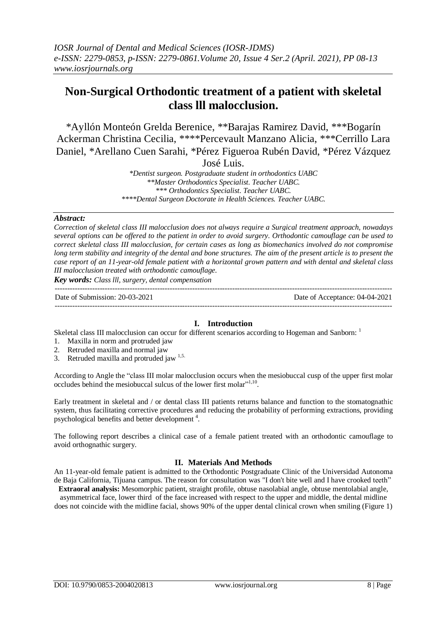# **Non-Surgical Orthodontic treatment of a patient with skeletal class lll malocclusion.**

\*Ayllón Monteón Grelda Berenice, \*\*Barajas Ramirez David, \*\*\*Bogarín Ackerman Christina Cecilia, \*\*\*\*Percevault Manzano Alicia, \*\*\*Cerrillo Lara Daniel, \*Arellano Cuen Sarahi, \*Pérez Figueroa Rubén David, \*Pérez Vázquez

José Luis.

*\*Dentist surgeon. Postgraduate student in orthodontics UABC \*\*Master Orthodontics Specialist. Teacher UABC. \*\*\* Orthodontics Specialist. Teacher UABC. \*\*\*\*Dental Surgeon Doctorate in Health Sciences. Teacher UABC.*

#### *Abstract:*

*Correction of skeletal class III malocclusion does not always require a Surgical treatment approach, nowadays* several options can be offered to the patient in order to avoid surgery. Orthodontic camouflage can be used to *correct skeletal class III malocclusion, for certain cases as long as biomechanics involved do not compromise* long term stability and integrity of the dental and bone structures. The aim of the present article is to present the case report of an 11-year-old female patient with a horizontal grown pattern and with dental and skeletal class *III malocclusion treated with orthodontic camouflage.*

*Key words: Class lll, surgery, dental compensation*

--------------------------------------------------------------------------------------------------------------------------------------- Date of Submission: 20-03-2021 Date of Acceptance: 04-04-2021 ---------------------------------------------------------------------------------------------------------------------------------------

# **I. Introduction**

Skeletal class III malocclusion can occur for different scenarios according to Hogeman and Sanborn: <sup>1</sup>

- 1. Maxilla in norm and protruded jaw
- 2. Retruded maxilla and normal jaw
- 3. Retruded maxilla and protruded jaw  $1,5$ .

According to Angle the "class III molar malocclusion occurs when the mesiobuccal cusp of the upper first molar occludes behind the mesiobuccal sulcus of the lower first molar"<sup>1,10</sup>.

Early treatment in skeletal and / or dental class III patients returns balance and function to the stomatognathic system, thus facilitating corrective procedures and reducing the probability of performing extractions, providing psychological benefits and better development<sup>4</sup>.

The following report describes a clinical case of a female patient treated with an orthodontic camouflage to avoid orthognathic surgery.

# **II. Materials And Methods**

An 11-year-old female patient is admitted to the Orthodontic Postgraduate Clinic of the Universidad Autonoma de Baja California, Tijuana campus. The reason for consultation was "I don't bite well and I have crooked teeth" **Extraoral analysis:** Mesomorphic patient, straight profile, obtuse nasolabial angle, obtuse mentolabial angle,

asymmetrical face, lower third of the face increased with respect to the upper and middle, the dental midline does not coincide with the midline facial, shows 90% of the upper dental clinical crown when smiling (Figure 1)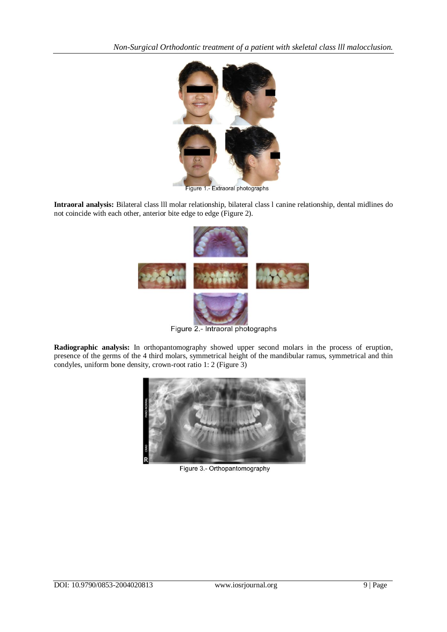

Figure 1.- Extraoral photographs

**Intraoral analysis:** Bilateral class lll molar relationship, bilateral class l canine relationship, dental midlines do not coincide with each other, anterior bite edge to edge (Figure 2).



Figure 2.- Intraoral photographs

**Radiographic analysis:** In orthopantomography showed upper second molars in the process of eruption, presence of the germs of the 4 third molars, symmetrical height of the mandibular ramus, symmetrical and thin condyles, uniform bone density, crown-root ratio 1: 2 (Figure 3)



Figure 3.- Orthopantomography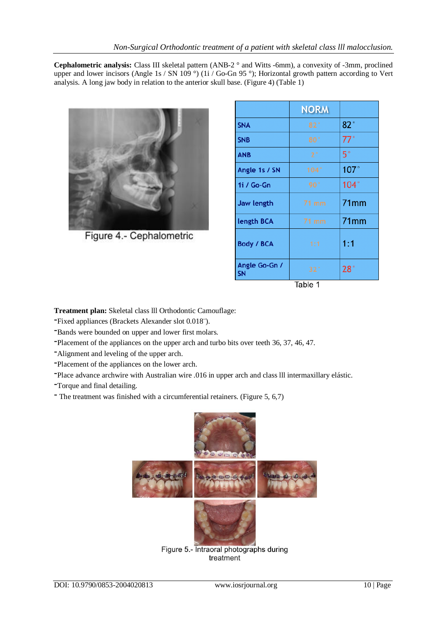**Cephalometric analysis:** Class III skeletal pattern (ANB-2 ° and Witts -6mm), a convexity of -3mm, proclined upper and lower incisors (Angle 1s / SN 109 °) (1i / Go-Gn 95 °); Horizontal growth pattern according to Vert analysis. A long jaw body in relation to the anterior skull base. (Figure 4) (Table 1)



Figure 4.- Cephalometric

|                            | <b>NORM</b>     |             |
|----------------------------|-----------------|-------------|
| <b>SNA</b>                 | 82 <sup>°</sup> | 82°         |
|                            |                 |             |
| <b>SNB</b>                 | 80 <sup>°</sup> | 77°         |
| <b>ANB</b>                 | 2 <sup>°</sup>  | $5^\circ$   |
| Angle 1s / SN              | 104°            | 107°        |
| 1i / Go-Gn                 | 90°             | $104^\circ$ |
| <b>Jaw length</b>          | 71 mm           | 71mm        |
| length BCA                 | 71 mm           | 71mm        |
| <b>Body / BCA</b>          | 1:1             | 1:1         |
| Angle Go-Gn /<br><b>SN</b> | 32°             | 28°         |
| Table 1                    |                 |             |

**Treatment plan:** Skeletal class lll Orthodontic Camouflage:

**-**Fixed appliances (Brackets Alexander slot 0.018¨).

**-**Bands were bounded on upper and lower first molars.

**-**Placement of the appliances on the upper arch and turbo bits over teeth 36, 37, 46, 47.

**-**Alignment and leveling of the upper arch.

**-**Placement of the appliances on the lower arch.

**-**Place advance archwire with Australian wire .016 in upper arch and class lll intermaxillary elástic.

**-**Torque and final detailing.

**-** The treatment was finished with a circumferential retainers. (Figure 5, 6,7)



Figure 5.- Intraoral photographs during treatment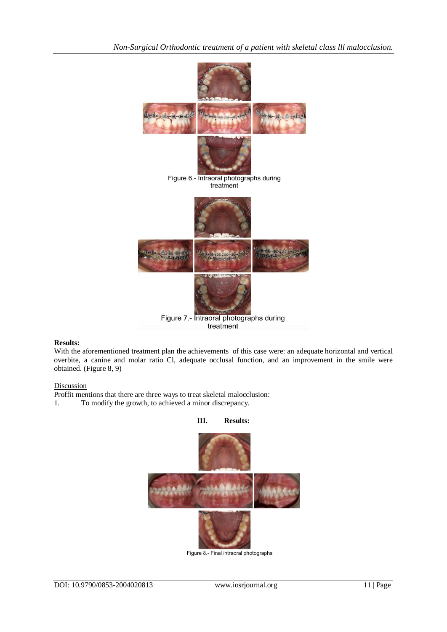

# **Results:**

With the aforementioned treatment plan the achievements of this case were: an adequate horizontal and vertical overbite, a canine and molar ratio Cl, adequate occlusal function, and an improvement in the smile were obtained. (Figure 8, 9)

# **Discussion**

- Proffit mentions that there are three ways to treat skeletal malocclusion:
- 1. To modify the growth, to achieved a minor discrepancy.



Figure 8.- Final intraoral photographs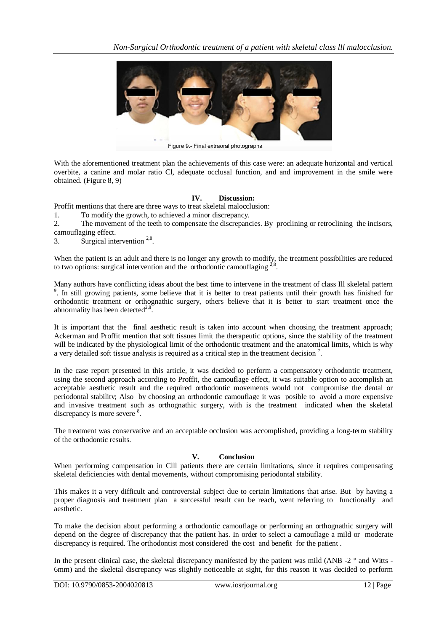

Figure 9.- Final extraoral photographs

With the aforementioned treatment plan the achievements of this case were: an adequate horizontal and vertical overbite, a canine and molar ratio Cl, adequate occlusal function, and and improvement in the smile were obtained. (Figure 8, 9)

# **IV. Discussion:**

Proffit mentions that there are three ways to treat skeletal malocclusion:

1. To modify the growth, to achieved a minor discrepancy.

2. The movement of the teeth to compensate the discrepancies. By proclining or retroclining the incisors, camouflaging effect.

3. Surgical intervention  $2,8$ .

When the patient is an adult and there is no longer any growth to modify, the treatment possibilities are reduced to two options: surgical intervention and the orthodontic camouflaging  $^{2,8}$ .

Many authors have conflicting ideas about the best time to intervene in the treatment of class Ill skeletal pattern <sup>9</sup>. In still growing patients, some believe that it is better to treat patients until their growth has finished for orthodontic treatment or orthognathic surgery, others believe that it is better to start treatment once the abnormality has been detected $2,8$ .

It is important that the final aesthetic result is taken into account when choosing the treatment approach; Ackerman and Proffit mention that soft tissues limit the therapeutic options, since the stability of the treatment will be indicated by the physiological limit of the orthodontic treatment and the anatomical limits, which is why a very detailed soft tissue analysis is required as a critical step in the treatment decision<sup>7</sup>.

In the case report presented in this article, it was decided to perform a compensatory orthodontic treatment, using the second approach according to Proffit, the camouflage effect, it was suitable option to accomplish an acceptable aesthetic result and the required orthodontic movements would not compromise the dental or periodontal stability; Also by choosing an orthodontic camouflage it was posible to avoid a more expensive and invasive treatment such as orthognathic surgery, with is the treatment indicated when the skeletal discrepancy is more severe <sup>8</sup>.

The treatment was conservative and an acceptable occlusion was accomplished, providing a long-term stability of the orthodontic results.

# **V. Conclusion**

When performing compensation in Clll patients there are certain limitations, since it requires compensating skeletal deficiencies with dental movements, without compromising periodontal stability.

This makes it a very difficult and controversial subject due to certain limitations that arise. But by having a proper diagnosis and treatment plan a successful result can be reach, went referring to functionally and aesthetic.

To make the decision about performing a orthodontic camouflage or performing an orthognathic surgery will depend on the degree of discrepancy that the patient has. In order to select a camouflage a mild or moderate discrepancy is required. The orthodontist most considered the cost and benefit for the patient .

In the present clinical case, the skeletal discrepancy manifested by the patient was mild (ANB -2  $\degree$  and Witts -6mm) and the skeletal discrepancy was slightly noticeable at sight, for this reason it was decided to perform